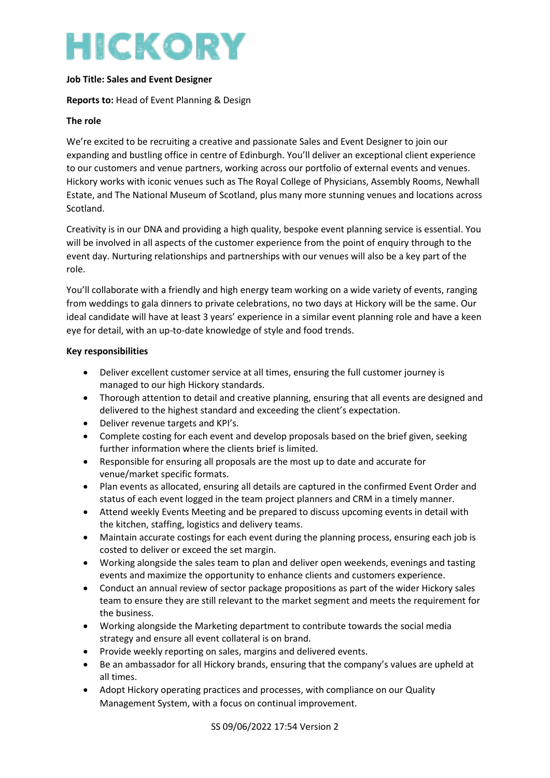# HICKORY

## **Job Title: Sales and Event Designer**

## **Reports to:** Head of Event Planning & Design

## **The role**

We're excited to be recruiting a creative and passionate Sales and Event Designer to join our expanding and bustling office in centre of Edinburgh. You'll deliver an exceptional client experience to our customers and venue partners, working across our portfolio of external events and venues. Hickory works with iconic venues such as The Royal College of Physicians, Assembly Rooms, Newhall Estate, and The National Museum of Scotland, plus many more stunning venues and locations across Scotland.

Creativity is in our DNA and providing a high quality, bespoke event planning service is essential. You will be involved in all aspects of the customer experience from the point of enquiry through to the event day. Nurturing relationships and partnerships with our venues will also be a key part of the role.

You'll collaborate with a friendly and high energy team working on a wide variety of events, ranging from weddings to gala dinners to private celebrations, no two days at Hickory will be the same. Our ideal candidate will have at least 3 years' experience in a similar event planning role and have a keen eye for detail, with an up-to-date knowledge of style and food trends.

## **Key responsibilities**

- Deliver excellent customer service at all times, ensuring the full customer journey is managed to our high Hickory standards.
- Thorough attention to detail and creative planning, ensuring that all events are designed and delivered to the highest standard and exceeding the client's expectation.
- Deliver revenue targets and KPI's.
- Complete costing for each event and develop proposals based on the brief given, seeking further information where the clients brief is limited.
- Responsible for ensuring all proposals are the most up to date and accurate for venue/market specific formats.
- Plan events as allocated, ensuring all details are captured in the confirmed Event Order and status of each event logged in the team project planners and CRM in a timely manner.
- Attend weekly Events Meeting and be prepared to discuss upcoming events in detail with the kitchen, staffing, logistics and delivery teams.
- Maintain accurate costings for each event during the planning process, ensuring each job is costed to deliver or exceed the set margin.
- Working alongside the sales team to plan and deliver open weekends, evenings and tasting events and maximize the opportunity to enhance clients and customers experience.
- Conduct an annual review of sector package propositions as part of the wider Hickory sales team to ensure they are still relevant to the market segment and meets the requirement for the business.
- Working alongside the Marketing department to contribute towards the social media strategy and ensure all event collateral is on brand.
- Provide weekly reporting on sales, margins and delivered events.
- Be an ambassador for all Hickory brands, ensuring that the company's values are upheld at all times.
- Adopt Hickory operating practices and processes, with compliance on our Quality Management System, with a focus on continual improvement.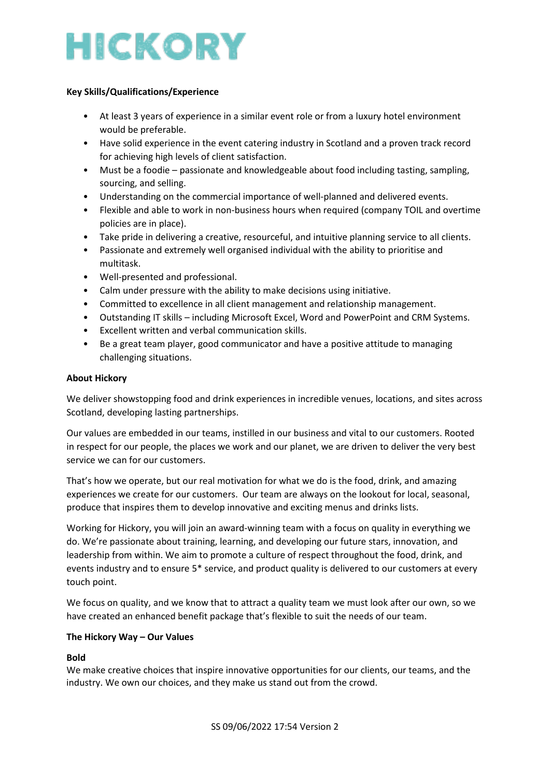# HICKORY

## **Key Skills/Qualifications/Experience**

- At least 3 years of experience in a similar event role or from a luxury hotel environment would be preferable.
- Have solid experience in the event catering industry in Scotland and a proven track record for achieving high levels of client satisfaction.
- Must be a foodie passionate and knowledgeable about food including tasting, sampling, sourcing, and selling.
- Understanding on the commercial importance of well-planned and delivered events.
- Flexible and able to work in non-business hours when required (company TOIL and overtime policies are in place).
- Take pride in delivering a creative, resourceful, and intuitive planning service to all clients.
- Passionate and extremely well organised individual with the ability to prioritise and multitask.
- Well-presented and professional.
- Calm under pressure with the ability to make decisions using initiative.
- Committed to excellence in all client management and relationship management.
- Outstanding IT skills including Microsoft Excel, Word and PowerPoint and CRM Systems.
- Excellent written and verbal communication skills.
- Be a great team player, good communicator and have a positive attitude to managing challenging situations.

## **About Hickory**

We deliver showstopping food and drink experiences in incredible venues, locations, and sites across Scotland, developing lasting partnerships.

Our values are embedded in our teams, instilled in our business and vital to our customers. Rooted in respect for our people, the places we work and our planet, we are driven to deliver the very best service we can for our customers.

That's how we operate, but our real motivation for what we do is the food, drink, and amazing experiences we create for our customers. Our team are always on the lookout for local, seasonal, produce that inspires them to develop innovative and exciting menus and drinks lists.

Working for Hickory, you will join an award-winning team with a focus on quality in everything we do. We're passionate about training, learning, and developing our future stars, innovation, and leadership from within. We aim to promote a culture of respect throughout the food, drink, and events industry and to ensure 5\* service, and product quality is delivered to our customers at every touch point.

We focus on quality, and we know that to attract a quality team we must look after our own, so we have created an enhanced benefit package that's flexible to suit the needs of our team.

## **The Hickory Way – Our Values**

## **Bold**

We make creative choices that inspire innovative opportunities for our clients, our teams, and the industry. We own our choices, and they make us stand out from the crowd.